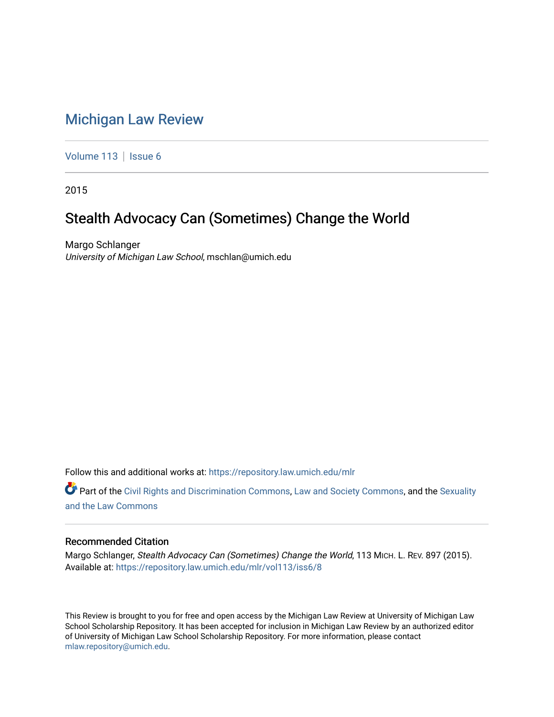## [Michigan Law Review](https://repository.law.umich.edu/mlr)

[Volume 113](https://repository.law.umich.edu/mlr/vol113) | [Issue 6](https://repository.law.umich.edu/mlr/vol113/iss6)

2015

# Stealth Advocacy Can (Sometimes) Change the World

Margo Schlanger University of Michigan Law School, mschlan@umich.edu

Follow this and additional works at: [https://repository.law.umich.edu/mlr](https://repository.law.umich.edu/mlr?utm_source=repository.law.umich.edu%2Fmlr%2Fvol113%2Fiss6%2F8&utm_medium=PDF&utm_campaign=PDFCoverPages) 

Part of the [Civil Rights and Discrimination Commons,](http://network.bepress.com/hgg/discipline/585?utm_source=repository.law.umich.edu%2Fmlr%2Fvol113%2Fiss6%2F8&utm_medium=PDF&utm_campaign=PDFCoverPages) [Law and Society Commons](http://network.bepress.com/hgg/discipline/853?utm_source=repository.law.umich.edu%2Fmlr%2Fvol113%2Fiss6%2F8&utm_medium=PDF&utm_campaign=PDFCoverPages), and the [Sexuality](http://network.bepress.com/hgg/discipline/877?utm_source=repository.law.umich.edu%2Fmlr%2Fvol113%2Fiss6%2F8&utm_medium=PDF&utm_campaign=PDFCoverPages) [and the Law Commons](http://network.bepress.com/hgg/discipline/877?utm_source=repository.law.umich.edu%2Fmlr%2Fvol113%2Fiss6%2F8&utm_medium=PDF&utm_campaign=PDFCoverPages) 

### Recommended Citation

Margo Schlanger, Stealth Advocacy Can (Sometimes) Change the World, 113 MICH. L. REV. 897 (2015). Available at: [https://repository.law.umich.edu/mlr/vol113/iss6/8](https://repository.law.umich.edu/mlr/vol113/iss6/8?utm_source=repository.law.umich.edu%2Fmlr%2Fvol113%2Fiss6%2F8&utm_medium=PDF&utm_campaign=PDFCoverPages) 

This Review is brought to you for free and open access by the Michigan Law Review at University of Michigan Law School Scholarship Repository. It has been accepted for inclusion in Michigan Law Review by an authorized editor of University of Michigan Law School Scholarship Repository. For more information, please contact [mlaw.repository@umich.edu.](mailto:mlaw.repository@umich.edu)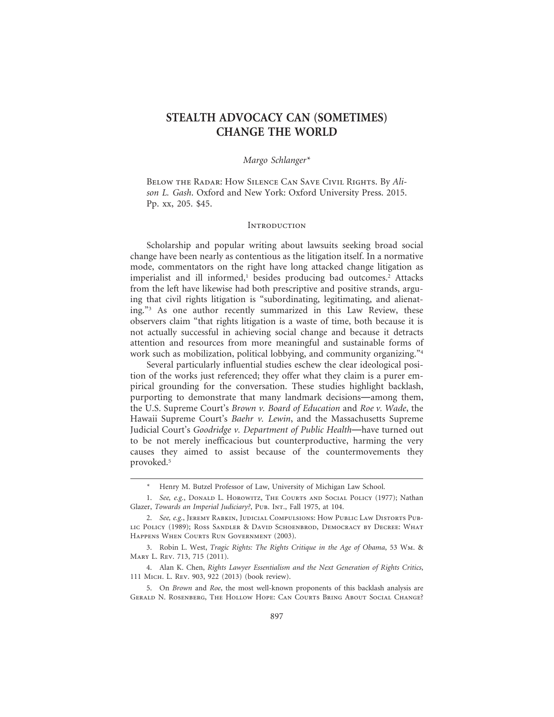## **STEALTH ADVOCACY CAN (SOMETIMES) CHANGE THE WORLD**

#### *Margo Schlanger\**

Below the Radar: How Silence Can Save Civil Rights. By *Alison L. Gash*. Oxford and New York: Oxford University Press. 2015. Pp. xx, 205. \$45.

#### **INTRODUCTION**

Scholarship and popular writing about lawsuits seeking broad social change have been nearly as contentious as the litigation itself. In a normative mode, commentators on the right have long attacked change litigation as imperialist and ill informed,<sup>1</sup> besides producing bad outcomes.<sup>2</sup> Attacks from the left have likewise had both prescriptive and positive strands, arguing that civil rights litigation is "subordinating, legitimating, and alienating."3 As one author recently summarized in this Law Review, these observers claim "that rights litigation is a waste of time, both because it is not actually successful in achieving social change and because it detracts attention and resources from more meaningful and sustainable forms of work such as mobilization, political lobbying, and community organizing."<sup>4</sup>

Several particularly influential studies eschew the clear ideological position of the works just referenced; they offer what they claim is a purer empirical grounding for the conversation. These studies highlight backlash, purporting to demonstrate that many landmark decisions—among them, the U.S. Supreme Court's *Brown v. Board of Education* and *Roe v. Wade*, the Hawaii Supreme Court's *Baehr v. Lewin*, and the Massachusetts Supreme Judicial Court's *Goodridge v. Department of Public Health*—have turned out to be not merely inefficacious but counterproductive, harming the very causes they aimed to assist because of the countermovements they provoked.5

Henry M. Butzel Professor of Law, University of Michigan Law School.

<sup>1.</sup> *See, e.g.*, DONALD L. HOROWITZ, THE COURTS AND SOCIAL POLICY (1977); Nathan Glazer, *Towards an Imperial Judiciary?*, Pub. Int., Fall 1975, at 104.

<sup>2.</sup> *See, e.g.*, Jeremy Rabkin, Judicial Compulsions: How Public Law Distorts Public Policy (1989); Ross Sandler & David Schoenbrod, Democracy by Decree: What Happens When Courts Run Government (2003).

<sup>3.</sup> Robin L. West, *Tragic Rights: The Rights Critique in the Age of Obama*, 53 Wm. & Mary L. Rev. 713, 715 (2011).

<sup>4.</sup> Alan K. Chen, *Rights Lawyer Essentialism and the Next Generation of Rights Critics*, 111 Mich. L. Rev. 903, 922 (2013) (book review).

<sup>5.</sup> On *Brown* and *Roe*, the most well-known proponents of this backlash analysis are Gerald N. Rosenberg, The Hollow Hope: Can Courts Bring About Social Change?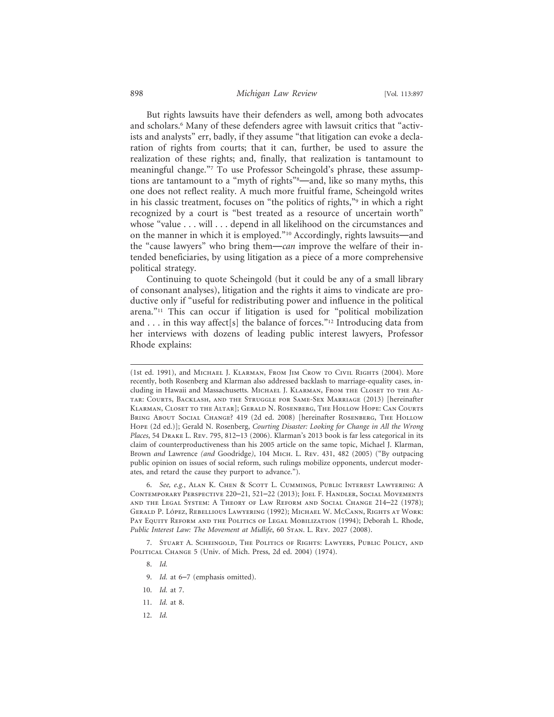#### 898 *Michigan Law Review* [Vol. 113:897

But rights lawsuits have their defenders as well, among both advocates and scholars.6 Many of these defenders agree with lawsuit critics that "activists and analysts" err, badly, if they assume "that litigation can evoke a declaration of rights from courts; that it can, further, be used to assure the realization of these rights; and, finally, that realization is tantamount to meaningful change."7 To use Professor Scheingold's phrase, these assumptions are tantamount to a "myth of rights"8—and, like so many myths, this one does not reflect reality. A much more fruitful frame, Scheingold writes in his classic treatment, focuses on "the politics of rights,"9 in which a right recognized by a court is "best treated as a resource of uncertain worth" whose "value . . . will . . . depend in all likelihood on the circumstances and on the manner in which it is employed."10 Accordingly, rights lawsuits—and the "cause lawyers" who bring them—*can* improve the welfare of their intended beneficiaries, by using litigation as a piece of a more comprehensive political strategy.

Continuing to quote Scheingold (but it could be any of a small library of consonant analyses), litigation and the rights it aims to vindicate are productive only if "useful for redistributing power and influence in the political arena."11 This can occur if litigation is used for "political mobilization and . . . in this way affect[s] the balance of forces."<sup>12</sup> Introducing data from her interviews with dozens of leading public interest lawyers, Professor Rhode explains:

- 8. *Id.*
- 9. *Id.* at 6–7 (emphasis omitted).
- 10. *Id.* at 7.
- 11. *Id.* at 8.
- 12. *Id.*

<sup>(1</sup>st ed. 1991), and Michael J. Klarman, From Jim Crow to Civil Rights (2004). More recently, both Rosenberg and Klarman also addressed backlash to marriage-equality cases, including in Hawaii and Massachusetts. Michael J. Klarman, From the Closet to the Altar: Courts, Backlash, and the Struggle for Same-Sex Marriage (2013) [hereinafter Klarman, Closet to the Altar]; Gerald N. Rosenberg, The Hollow Hope: Can Courts Bring About Social Change? 419 (2d ed. 2008) [hereinafter Rosenberg, The Hollow Hope (2d ed.)]; Gerald N. Rosenberg, *Courting Disaster: Looking for Change in All the Wrong Places*, 54 Drake L. Rev. 795, 812–13 (2006). Klarman's 2013 book is far less categorical in its claim of counterproductiveness than his 2005 article on the same topic, Michael J. Klarman, Brown *and* Lawrence *(and* Goodridge*)*, 104 Mich. L. Rev. 431, 482 (2005) ("By outpacing public opinion on issues of social reform, such rulings mobilize opponents, undercut moderates, and retard the cause they purport to advance.").

<sup>6.</sup> *See, e.g.*, Alan K. Chen & Scott L. Cummings, Public Interest Lawyering: A Contemporary Perspective 220–21, 521–22 (2013); Joel F. Handler, Social Movements and the Legal System: A Theory of Law Reform and Social Change 214–22 (1978); GERALD P. LÓPEZ, REBELLIOUS LAWYERING (1992); MICHAEL W. MCCANN, RIGHTS AT WORK: PAY EQUITY REFORM AND THE POLITICS OF LEGAL MOBILIZATION (1994); Deborah L. Rhode, *Public Interest Law: The Movement at Midlife*, 60 Stan. L. Rev. 2027 (2008).

<sup>7.</sup> Stuart A. Scheingold, The Politics of Rights: Lawyers, Public Policy, and POLITICAL CHANGE 5 (Univ. of Mich. Press, 2d ed. 2004) (1974).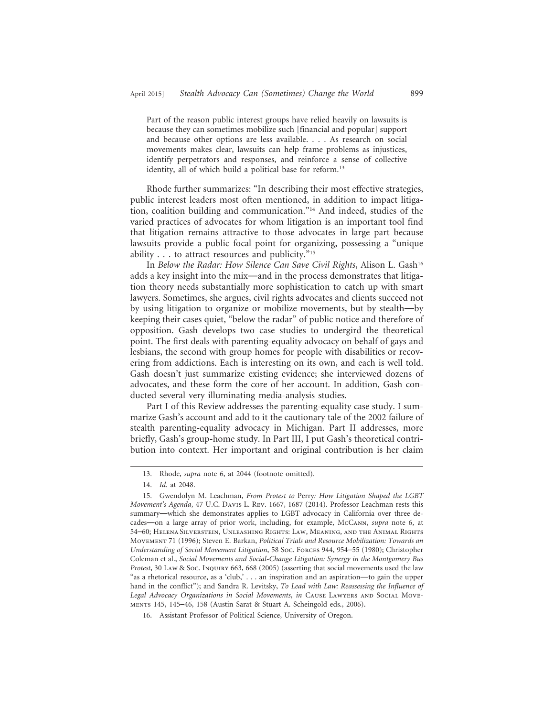Part of the reason public interest groups have relied heavily on lawsuits is because they can sometimes mobilize such [financial and popular] support and because other options are less available. . . . As research on social movements makes clear, lawsuits can help frame problems as injustices, identify perpetrators and responses, and reinforce a sense of collective identity, all of which build a political base for reform.<sup>13</sup>

Rhode further summarizes: "In describing their most effective strategies, public interest leaders most often mentioned, in addition to impact litigation, coalition building and communication."14 And indeed, studies of the varied practices of advocates for whom litigation is an important tool find that litigation remains attractive to those advocates in large part because lawsuits provide a public focal point for organizing, possessing a "unique ability . . . to attract resources and publicity."15

In *Below the Radar: How Silence Can Save Civil Rights*, Alison L. Gash<sup>16</sup> adds a key insight into the mix—and in the process demonstrates that litigation theory needs substantially more sophistication to catch up with smart lawyers. Sometimes, she argues, civil rights advocates and clients succeed not by using litigation to organize or mobilize movements, but by stealth—by keeping their cases quiet, "below the radar" of public notice and therefore of opposition. Gash develops two case studies to undergird the theoretical point. The first deals with parenting-equality advocacy on behalf of gays and lesbians, the second with group homes for people with disabilities or recovering from addictions. Each is interesting on its own, and each is well told. Gash doesn't just summarize existing evidence; she interviewed dozens of advocates, and these form the core of her account. In addition, Gash conducted several very illuminating media-analysis studies.

Part I of this Review addresses the parenting-equality case study. I summarize Gash's account and add to it the cautionary tale of the 2002 failure of stealth parenting-equality advocacy in Michigan. Part II addresses, more briefly, Gash's group-home study. In Part III, I put Gash's theoretical contribution into context. Her important and original contribution is her claim

<sup>13.</sup> Rhode, *supra* note 6, at 2044 (footnote omitted).

<sup>14.</sup> *Id.* at 2048.

<sup>15.</sup> Gwendolyn M. Leachman, *From Protest to* Perry*: How Litigation Shaped the LGBT Movement's Agenda*, 47 U.C. Davis L. Rev. 1667, 1687 (2014). Professor Leachman rests this summary—which she demonstrates applies to LGBT advocacy in California over three decades—on a large array of prior work, including, for example, McCann, *supra* note 6, at 54–60; Helena Silverstein, Unleashing Rights: Law, Meaning, and the Animal Rights Movement 71 (1996); Steven E. Barkan, *Political Trials and Resource Mobilization: Towards an Understanding of Social Movement Litigation*, 58 Soc. Forces 944, 954–55 (1980); Christopher Coleman et al., *Social Movements and Social-Change Litigation: Synergy in the Montgomery Bus Protest*, 30 Law & Soc. Inquiry 663, 668 (2005) (asserting that social movements used the law "as a rhetorical resource, as a 'club,' . . . an inspiration and an aspiration—to gain the upper hand in the conflict"); and Sandra R. Levitsky, *To Lead with Law: Reassessing the Influence of* Legal Advocacy Organizations in Social Movements, in CAUSE LAWYERS AND SOCIAL MOVEments 145, 145–46, 158 (Austin Sarat & Stuart A. Scheingold eds., 2006).

<sup>16.</sup> Assistant Professor of Political Science, University of Oregon.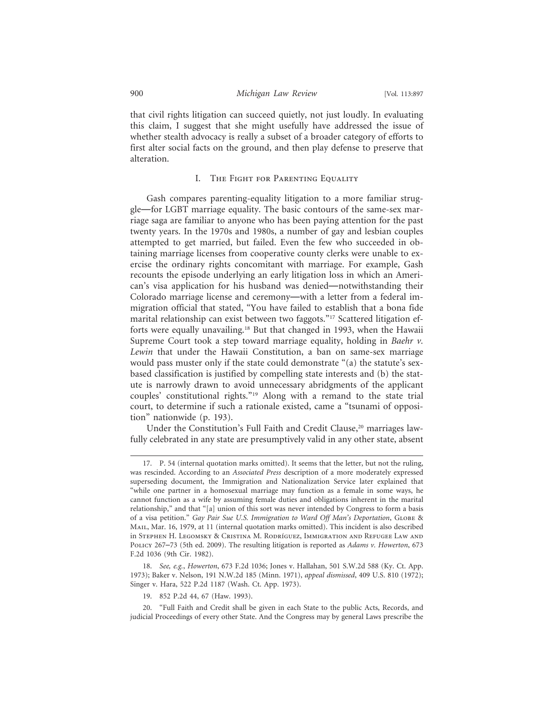that civil rights litigation can succeed quietly, not just loudly. In evaluating this claim, I suggest that she might usefully have addressed the issue of whether stealth advocacy is really a subset of a broader category of efforts to first alter social facts on the ground, and then play defense to preserve that alteration.

#### I. The Fight for Parenting Equality

Gash compares parenting-equality litigation to a more familiar struggle—for LGBT marriage equality. The basic contours of the same-sex marriage saga are familiar to anyone who has been paying attention for the past twenty years. In the 1970s and 1980s, a number of gay and lesbian couples attempted to get married, but failed. Even the few who succeeded in obtaining marriage licenses from cooperative county clerks were unable to exercise the ordinary rights concomitant with marriage. For example, Gash recounts the episode underlying an early litigation loss in which an American's visa application for his husband was denied—notwithstanding their Colorado marriage license and ceremony—with a letter from a federal immigration official that stated, "You have failed to establish that a bona fide marital relationship can exist between two faggots."<sup>17</sup> Scattered litigation efforts were equally unavailing.<sup>18</sup> But that changed in 1993, when the Hawaii Supreme Court took a step toward marriage equality, holding in *Baehr v. Lewin* that under the Hawaii Constitution, a ban on same-sex marriage would pass muster only if the state could demonstrate "(a) the statute's sexbased classification is justified by compelling state interests and (b) the statute is narrowly drawn to avoid unnecessary abridgments of the applicant couples' constitutional rights."19 Along with a remand to the state trial court, to determine if such a rationale existed, came a "tsunami of opposition" nationwide (p. 193).

Under the Constitution's Full Faith and Credit Clause,<sup>20</sup> marriages lawfully celebrated in any state are presumptively valid in any other state, absent

<sup>17.</sup> P. 54 (internal quotation marks omitted). It seems that the letter, but not the ruling, was rescinded. According to an *Associated Press* description of a more moderately expressed superseding document, the Immigration and Nationalization Service later explained that "while one partner in a homosexual marriage may function as a female in some ways, he cannot function as a wife by assuming female duties and obligations inherent in the marital relationship," and that "[a] union of this sort was never intended by Congress to form a basis of a visa petition." *Gay Pair Sue U.S. Immigration to Ward Off Man's Deportation*, GLOBE & Mail, Mar. 16, 1979, at 11 (internal quotation marks omitted). This incident is also described in Stephen H. Legomsky & Cristina M. Rodríguez, Immigration and Refugee Law and Policy 267–73 (5th ed. 2009). The resulting litigation is reported as *Adams v. Howerton*, 673 F.2d 1036 (9th Cir. 1982).

<sup>18.</sup> *See, e.g.*, *Howerton*, 673 F.2d 1036; Jones v. Hallahan, 501 S.W.2d 588 (Ky. Ct. App. 1973); Baker v. Nelson, 191 N.W.2d 185 (Minn. 1971), *appeal dismissed*, 409 U.S. 810 (1972); Singer v. Hara, 522 P.2d 1187 (Wash. Ct. App. 1973).

<sup>19. 852</sup> P.2d 44, 67 (Haw. 1993).

<sup>20. &</sup>quot;Full Faith and Credit shall be given in each State to the public Acts, Records, and judicial Proceedings of every other State. And the Congress may by general Laws prescribe the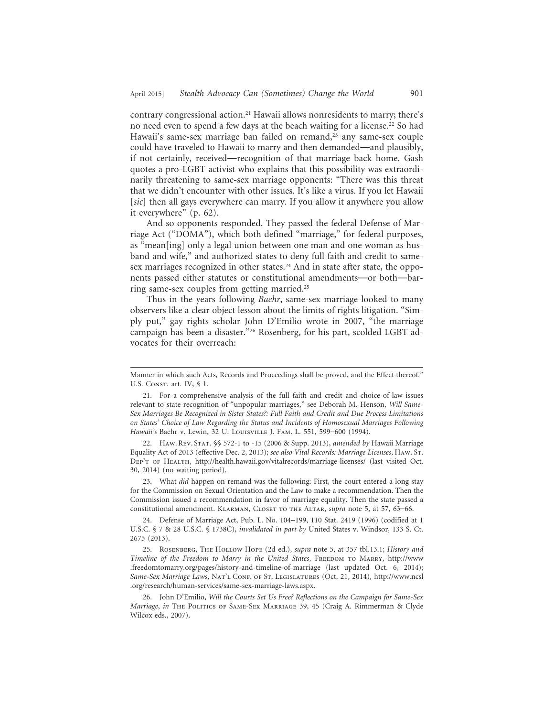contrary congressional action.21 Hawaii allows nonresidents to marry; there's no need even to spend a few days at the beach waiting for a license.22 So had Hawaii's same-sex marriage ban failed on remand,<sup>23</sup> any same-sex couple could have traveled to Hawaii to marry and then demanded—and plausibly, if not certainly, received—recognition of that marriage back home. Gash quotes a pro-LGBT activist who explains that this possibility was extraordinarily threatening to same-sex marriage opponents: "There was this threat that we didn't encounter with other issues. It's like a virus. If you let Hawaii [*sic*] then all gays everywhere can marry. If you allow it anywhere you allow it everywhere" (p. 62).

And so opponents responded. They passed the federal Defense of Marriage Act ("DOMA"), which both defined "marriage," for federal purposes, as "mean[ing] only a legal union between one man and one woman as husband and wife," and authorized states to deny full faith and credit to samesex marriages recognized in other states.<sup>24</sup> And in state after state, the opponents passed either statutes or constitutional amendments—or both—barring same-sex couples from getting married.25

Thus in the years following *Baehr*, same-sex marriage looked to many observers like a clear object lesson about the limits of rights litigation. "Simply put," gay rights scholar John D'Emilio wrote in 2007, "the marriage campaign has been a disaster."26 Rosenberg, for his part, scolded LGBT advocates for their overreach:

22. HAW. REV. STAT. §§ 572-1 to -15 (2006 & Supp. 2013), amended by Hawaii Marriage Equality Act of 2013 (effective Dec. 2, 2013); *see also Vital Records: Marriage Licenses*, Haw. St. DEP'T OF HEALTH, http://health.hawaii.gov/vitalrecords/marriage-licenses/ (last visited Oct. 30, 2014) (no waiting period).

23. What *did* happen on remand was the following: First, the court entered a long stay for the Commission on Sexual Orientation and the Law to make a recommendation. Then the Commission issued a recommendation in favor of marriage equality. Then the state passed a constitutional amendment. Klarman, Closet to the Altar, *supra* note 5, at 57, 63–66.

24. Defense of Marriage Act, Pub. L. No. 104–199, 110 Stat. 2419 (1996) (codified at 1 U.S.C. § 7 & 28 U.S.C. § 1738C), *invalidated in part by* United States v. Windsor, 133 S. Ct. 2675 (2013).

25. Rosenberg, The Hollow Hope (2d ed.), *supra* note 5, at 357 tbl.13.1; *History and Timeline of the Freedom to Marry in the United States*, FREEDOM TO MARRY, http://www .freedomtomarry.org/pages/history-and-timeline-of-marriage (last updated Oct. 6, 2014); Same-Sex Marriage Laws, NAT'L CONF. OF ST. LEGISLATURES (Oct. 21, 2014), http://www.ncsl .org/research/human-services/same-sex-marriage-laws.aspx.

26. John D'Emilio, *Will the Courts Set Us Free? Reflections on the Campaign for Same-Sex Marriage*, *in* The Politics of Same-Sex Marriage 39, 45 (Craig A. Rimmerman & Clyde Wilcox eds., 2007).

Manner in which such Acts, Records and Proceedings shall be proved, and the Effect thereof." U.S. CONST. art. IV, § 1.

<sup>21.</sup> For a comprehensive analysis of the full faith and credit and choice-of-law issues relevant to state recognition of "unpopular marriages," see Deborah M. Henson, *Will Same-Sex Marriages Be Recognized in Sister States?: Full Faith and Credit and Due Process Limitations on States' Choice of Law Regarding the Status and Incidents of Homosexual Marriages Following Hawaii's* Baehr v. Lewin, 32 U. Louisville J. Fam. L. 551, 599–600 (1994).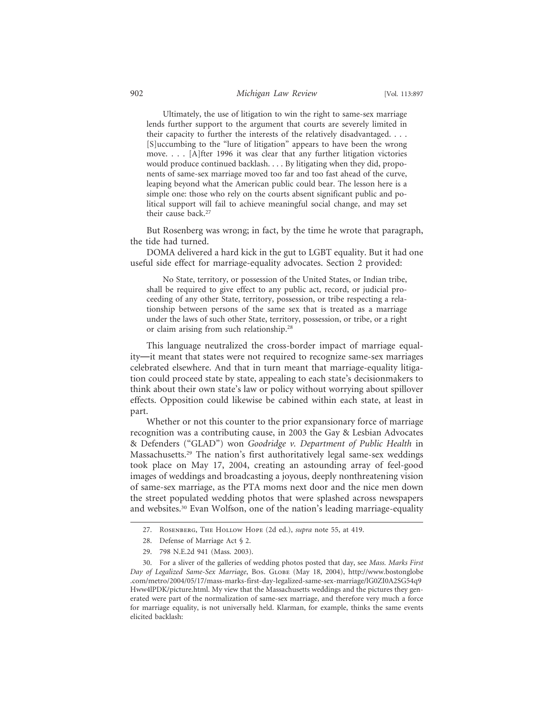Ultimately, the use of litigation to win the right to same-sex marriage lends further support to the argument that courts are severely limited in their capacity to further the interests of the relatively disadvantaged. . . . [S]uccumbing to the "lure of litigation" appears to have been the wrong move. . . . [A]fter 1996 it was clear that any further litigation victories would produce continued backlash. . . . By litigating when they did, proponents of same-sex marriage moved too far and too fast ahead of the curve, leaping beyond what the American public could bear. The lesson here is a simple one: those who rely on the courts absent significant public and political support will fail to achieve meaningful social change, and may set their cause back.<sup>27</sup>

But Rosenberg was wrong; in fact, by the time he wrote that paragraph, the tide had turned.

DOMA delivered a hard kick in the gut to LGBT equality. But it had one useful side effect for marriage-equality advocates. Section 2 provided:

No State, territory, or possession of the United States, or Indian tribe, shall be required to give effect to any public act, record, or judicial proceeding of any other State, territory, possession, or tribe respecting a relationship between persons of the same sex that is treated as a marriage under the laws of such other State, territory, possession, or tribe, or a right or claim arising from such relationship.28

This language neutralized the cross-border impact of marriage equality—it meant that states were not required to recognize same-sex marriages celebrated elsewhere. And that in turn meant that marriage-equality litigation could proceed state by state, appealing to each state's decisionmakers to think about their own state's law or policy without worrying about spillover effects. Opposition could likewise be cabined within each state, at least in part.

Whether or not this counter to the prior expansionary force of marriage recognition was a contributing cause, in 2003 the Gay & Lesbian Advocates & Defenders ("GLAD") won *Goodridge v. Department of Public Health* in Massachusetts.29 The nation's first authoritatively legal same-sex weddings took place on May 17, 2004, creating an astounding array of feel-good images of weddings and broadcasting a joyous, deeply nonthreatening vision of same-sex marriage, as the PTA moms next door and the nice men down the street populated wedding photos that were splashed across newspapers and websites.30 Evan Wolfson, one of the nation's leading marriage-equality

29. 798 N.E.2d 941 (Mass. 2003).

<sup>27.</sup> Rosenberg, The Hollow Hope (2d ed.), *supra* note 55, at 419.

<sup>28.</sup> Defense of Marriage Act § 2.

<sup>30.</sup> For a sliver of the galleries of wedding photos posted that day, see *Mass. Marks First Day of Legalized Same-Sex Marriage*, Bos. Globe (May 18, 2004), http://www.bostonglobe .com/metro/2004/05/17/mass-marks-first-day-legalized-same-sex-marriage/lG0ZI0A2SG54q9 Hww4lPDK/picture.html. My view that the Massachusetts weddings and the pictures they generated were part of the normalization of same-sex marriage, and therefore very much a force for marriage equality, is not universally held. Klarman, for example, thinks the same events elicited backlash: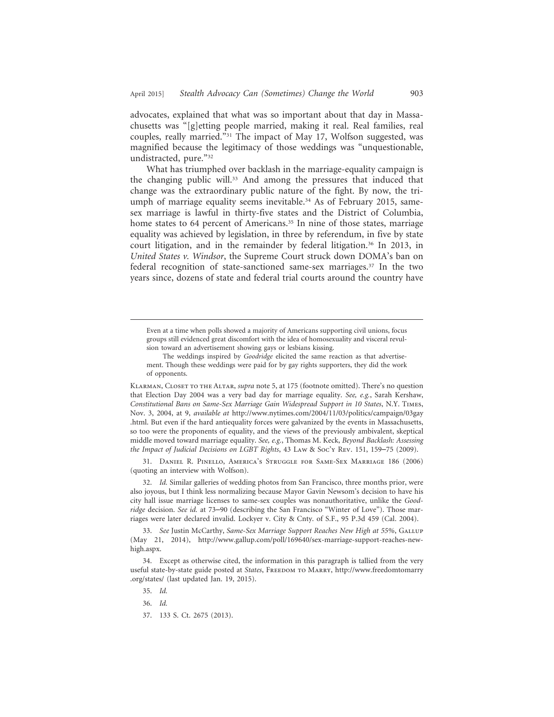advocates, explained that what was so important about that day in Massachusetts was "[g]etting people married, making it real. Real families, real couples, really married."31 The impact of May 17, Wolfson suggested, was magnified because the legitimacy of those weddings was "unquestionable, undistracted, pure."32

What has triumphed over backlash in the marriage-equality campaign is the changing public will.33 And among the pressures that induced that change was the extraordinary public nature of the fight. By now, the triumph of marriage equality seems inevitable.<sup>34</sup> As of February 2015, samesex marriage is lawful in thirty-five states and the District of Columbia, home states to 64 percent of Americans.<sup>35</sup> In nine of those states, marriage equality was achieved by legislation, in three by referendum, in five by state court litigation, and in the remainder by federal litigation.<sup>36</sup> In 2013, in *United States v. Windsor*, the Supreme Court struck down DOMA's ban on federal recognition of state-sanctioned same-sex marriages.37 In the two years since, dozens of state and federal trial courts around the country have

Klarman, Closet to the Altar, *supra* note 5, at 175 (footnote omitted). There's no question that Election Day 2004 was a very bad day for marriage equality. *See, e.g.*, Sarah Kershaw, *Constitutional Bans on Same-Sex Marriage Gain Widespread Support in 10 States*, N.Y. Times, Nov. 3, 2004, at 9, *available at* http://www.nytimes.com/2004/11/03/politics/campaign/03gay .html. But even if the hard antiequality forces were galvanized by the events in Massachusetts, so too were the proponents of equality, and the views of the previously ambivalent, skeptical middle moved toward marriage equality. *See, e.g.*, Thomas M. Keck, *Beyond Backlash: Assessing the Impact of Judicial Decisions on LGBT Rights*, 43 Law & Soc'y Rev. 151, 159–75 (2009).

31. Daniel R. Pinello, America's Struggle for Same-Sex Marriage 186 (2006) (quoting an interview with Wolfson).

32. *Id.* Similar galleries of wedding photos from San Francisco, three months prior, were also joyous, but I think less normalizing because Mayor Gavin Newsom's decision to have his city hall issue marriage licenses to same-sex couples was nonauthoritative, unlike the *Goodridge* decision. *See id.* at 73–90 (describing the San Francisco "Winter of Love"). Those marriages were later declared invalid. Lockyer v. City & Cnty. of S.F., 95 P.3d 459 (Cal. 2004).

34. Except as otherwise cited, the information in this paragraph is tallied from the very useful state-by-state guide posted at *States*, Freedom to Marry, http://www.freedomtomarry .org/states/ (last updated Jan. 19, 2015).

35. *Id.*

36. *Id.*

Even at a time when polls showed a majority of Americans supporting civil unions, focus groups still evidenced great discomfort with the idea of homosexuality and visceral revulsion toward an advertisement showing gays or lesbians kissing.

The weddings inspired by *Goodridge* elicited the same reaction as that advertisement. Though these weddings were paid for by gay rights supporters, they did the work of opponents.

<sup>33.</sup> *See* Justin McCarthy, *Same-Sex Marriage Support Reaches New High at 55%*, Gallup (May 21, 2014), http://www.gallup.com/poll/169640/sex-marriage-support-reaches-newhigh.aspx.

<sup>37. 133</sup> S. Ct. 2675 (2013).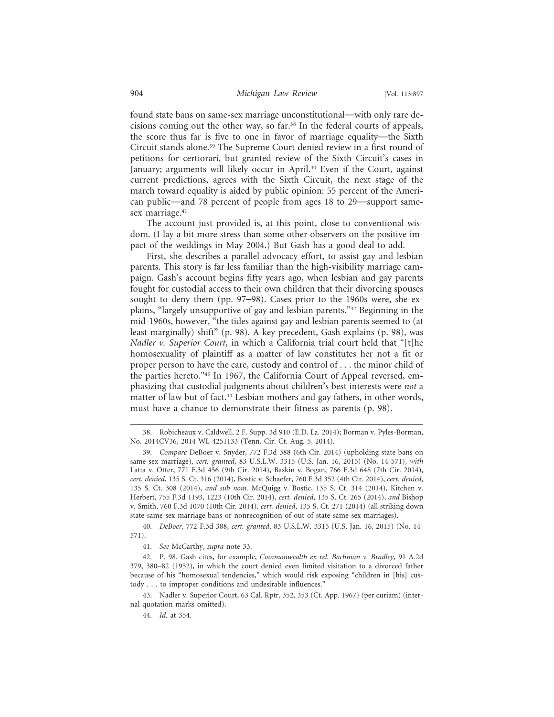found state bans on same-sex marriage unconstitutional—with only rare decisions coming out the other way, so far.38 In the federal courts of appeals, the score thus far is five to one in favor of marriage equality—the Sixth Circuit stands alone.39 The Supreme Court denied review in a first round of petitions for certiorari, but granted review of the Sixth Circuit's cases in January; arguments will likely occur in April.<sup>40</sup> Even if the Court, against current predictions, agrees with the Sixth Circuit, the next stage of the march toward equality is aided by public opinion: 55 percent of the American public—and 78 percent of people from ages 18 to 29—support samesex marriage.<sup>41</sup>

The account just provided is, at this point, close to conventional wisdom. (I lay a bit more stress than some other observers on the positive impact of the weddings in May 2004.) But Gash has a good deal to add.

First, she describes a parallel advocacy effort, to assist gay and lesbian parents. This story is far less familiar than the high-visibility marriage campaign. Gash's account begins fifty years ago, when lesbian and gay parents fought for custodial access to their own children that their divorcing spouses sought to deny them (pp. 97–98). Cases prior to the 1960s were, she explains, "largely unsupportive of gay and lesbian parents."42 Beginning in the mid-1960s, however, "the tides against gay and lesbian parents seemed to (at least marginally) shift" (p. 98). A key precedent, Gash explains (p. 98), was *Nadler v. Superior Court*, in which a California trial court held that "[t]he homosexuality of plaintiff as a matter of law constitutes her not a fit or proper person to have the care, custody and control of . . . the minor child of the parties hereto."43 In 1967, the California Court of Appeal reversed, emphasizing that custodial judgments about children's best interests were *not* a matter of law but of fact.<sup>44</sup> Lesbian mothers and gay fathers, in other words, must have a chance to demonstrate their fitness as parents (p. 98).

40. *DeBoer*, 772 F.3d 388, *cert. granted*, 83 U.S.L.W. 3315 (U.S. Jan. 16, 2015) (No. 14- 571).

<sup>38.</sup> Robicheaux v. Caldwell, 2 F. Supp. 3d 910 (E.D. La. 2014); Borman v. Pyles-Borman, No. 2014CV36, 2014 WL 4251133 (Tenn. Cir. Ct. Aug. 5, 2014).

<sup>39.</sup> *Compare* DeBoer v. Snyder, 772 F.3d 388 (6th Cir. 2014) (upholding state bans on same-sex marriage), *cert. granted*, 83 U.S.L.W. 3315 (U.S. Jan. 16, 2015) (No. 14-571), *with* Latta v. Otter, 771 F.3d 456 (9th Cir. 2014), Baskin v. Bogan, 766 F.3d 648 (7th Cir. 2014), *cert. denied*, 135 S. Ct. 316 (2014), Bostic v. Schaefer, 760 F.3d 352 (4th Cir. 2014), *cert. denied*, 135 S. Ct. 308 (2014), *and sub nom.* McQuigg v. Bostic, 135 S. Ct. 314 (2014), Kitchen v. Herbert, 755 F.3d 1193, 1223 (10th Cir. 2014), *cert. denied*, 135 S. Ct. 265 (2014), *and* Bishop v. Smith, 760 F.3d 1070 (10th Cir. 2014), *cert. denied*, 135 S. Ct. 271 (2014) (all striking down state same-sex marriage bans or nonrecognition of out-of-state same-sex marriages).

<sup>41.</sup> *See* McCarthy, *supra* note 33.

<sup>42.</sup> P. 98. Gash cites, for example, *Commonwealth ex rel. Bachman v. Bradley*, 91 A.2d 379, 380–82 (1952), in which the court denied even limited visitation to a divorced father because of his "homosexual tendencies," which would risk exposing "children in [his] custody . . . to improper conditions and undesirable influences."

<sup>43.</sup> Nadler v. Superior Court, 63 Cal. Rptr. 352, 353 (Ct. App. 1967) (per curiam) (internal quotation marks omitted).

<sup>44.</sup> *Id.* at 354.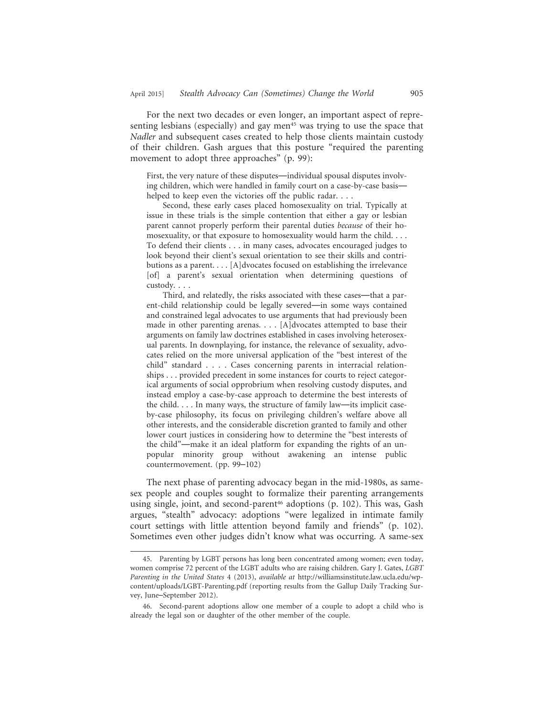For the next two decades or even longer, an important aspect of representing lesbians (especially) and gay men<sup>45</sup> was trying to use the space that *Nadler* and subsequent cases created to help those clients maintain custody of their children. Gash argues that this posture "required the parenting movement to adopt three approaches" (p. 99):

First, the very nature of these disputes—individual spousal disputes involving children, which were handled in family court on a case-by-case basis helped to keep even the victories off the public radar. . . .

Second, these early cases placed homosexuality on trial. Typically at issue in these trials is the simple contention that either a gay or lesbian parent cannot properly perform their parental duties *because* of their homosexuality, or that exposure to homosexuality would harm the child. . . . To defend their clients . . . in many cases, advocates encouraged judges to look beyond their client's sexual orientation to see their skills and contributions as a parent. . . . [A]dvocates focused on establishing the irrelevance [of] a parent's sexual orientation when determining questions of custody. . . .

Third, and relatedly, the risks associated with these cases—that a parent-child relationship could be legally severed—in some ways contained and constrained legal advocates to use arguments that had previously been made in other parenting arenas. . . . [A]dvocates attempted to base their arguments on family law doctrines established in cases involving heterosexual parents. In downplaying, for instance, the relevance of sexuality, advocates relied on the more universal application of the "best interest of the child" standard . . . . Cases concerning parents in interracial relationships . . . provided precedent in some instances for courts to reject categorical arguments of social opprobrium when resolving custody disputes, and instead employ a case-by-case approach to determine the best interests of the child. . . . In many ways, the structure of family law—its implicit caseby-case philosophy, its focus on privileging children's welfare above all other interests, and the considerable discretion granted to family and other lower court justices in considering how to determine the "best interests of the child"—make it an ideal platform for expanding the rights of an unpopular minority group without awakening an intense public countermovement. (pp. 99–102)

The next phase of parenting advocacy began in the mid-1980s, as samesex people and couples sought to formalize their parenting arrangements using single, joint, and second-parent<sup>46</sup> adoptions (p. 102). This was, Gash argues, "stealth" advocacy: adoptions "were legalized in intimate family court settings with little attention beyond family and friends" (p. 102). Sometimes even other judges didn't know what was occurring. A same-sex

<sup>45.</sup> Parenting by LGBT persons has long been concentrated among women; even today, women comprise 72 percent of the LGBT adults who are raising children. Gary J. Gates, *LGBT Parenting in the United States* 4 (2013), *available at* http://williamsinstitute.law.ucla.edu/wpcontent/uploads/LGBT-Parenting.pdf (reporting results from the Gallup Daily Tracking Survey, June–September 2012).

<sup>46.</sup> Second-parent adoptions allow one member of a couple to adopt a child who is already the legal son or daughter of the other member of the couple.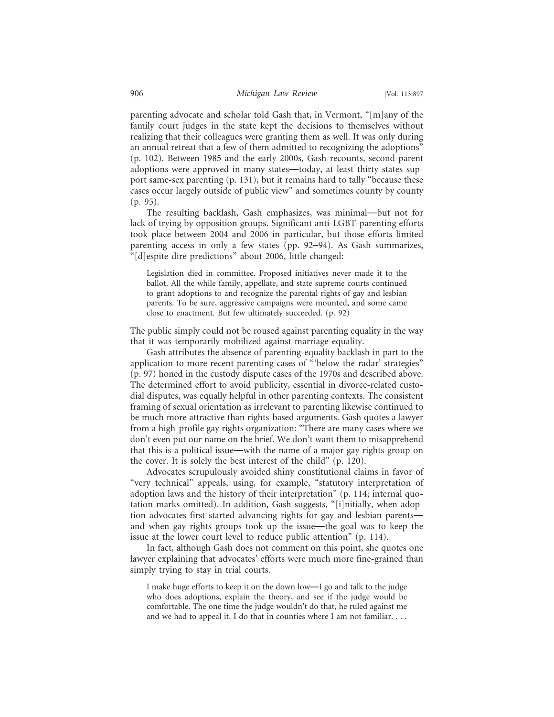parenting advocate and scholar told Gash that, in Vermont, "[m]any of the family court judges in the state kept the decisions to themselves without realizing that their colleagues were granting them as well. It was only during an annual retreat that a few of them admitted to recognizing the adoptions" (p. 102). Between 1985 and the early 2000s, Gash recounts, second-parent adoptions were approved in many states—today, at least thirty states support same-sex parenting (p. 131), but it remains hard to tally "because these cases occur largely outside of public view" and sometimes county by county (p. 95).

The resulting backlash, Gash emphasizes, was minimal—but not for lack of trying by opposition groups. Significant anti-LGBT-parenting efforts took place between 2004 and 2006 in particular, but those efforts limited parenting access in only a few states (pp. 92–94). As Gash summarizes, "[d]espite dire predictions" about 2006, little changed:

Legislation died in committee. Proposed initiatives never made it to the ballot. All the while family, appellate, and state supreme courts continued to grant adoptions to and recognize the parental rights of gay and lesbian parents. To be sure, aggressive campaigns were mounted, and some came close to enactment. But few ultimately succeeded. (p. 92)

The public simply could not be roused against parenting equality in the way that it was temporarily mobilized against marriage equality.

Gash attributes the absence of parenting-equality backlash in part to the application to more recent parenting cases of "'below-the-radar' strategies" (p. 97) honed in the custody dispute cases of the 1970s and described above. The determined effort to avoid publicity, essential in divorce-related custodial disputes, was equally helpful in other parenting contexts. The consistent framing of sexual orientation as irrelevant to parenting likewise continued to be much more attractive than rights-based arguments. Gash quotes a lawyer from a high-profile gay rights organization: "There are many cases where we don't even put our name on the brief. We don't want them to misapprehend that this is a political issue—with the name of a major gay rights group on the cover. It is solely the best interest of the child" (p. 120).

Advocates scrupulously avoided shiny constitutional claims in favor of "very technical" appeals, using, for example, "statutory interpretation of adoption laws and the history of their interpretation" (p. 114; internal quotation marks omitted). In addition, Gash suggests, "[i]nitially, when adoption advocates first started advancing rights for gay and lesbian parents and when gay rights groups took up the issue—the goal was to keep the issue at the lower court level to reduce public attention" (p. 114).

In fact, although Gash does not comment on this point, she quotes one lawyer explaining that advocates' efforts were much more fine-grained than simply trying to stay in trial courts.

I make huge efforts to keep it on the down low—I go and talk to the judge who does adoptions, explain the theory, and see if the judge would be comfortable. The one time the judge wouldn't do that, he ruled against me and we had to appeal it. I do that in counties where I am not familiar. . . .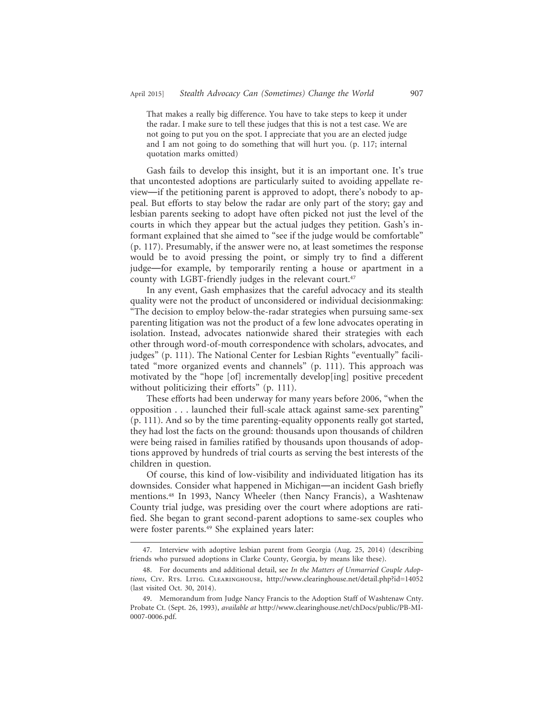That makes a really big difference. You have to take steps to keep it under the radar. I make sure to tell these judges that this is not a test case. We are not going to put you on the spot. I appreciate that you are an elected judge and I am not going to do something that will hurt you. (p. 117; internal quotation marks omitted)

Gash fails to develop this insight, but it is an important one. It's true that uncontested adoptions are particularly suited to avoiding appellate review—if the petitioning parent is approved to adopt, there's nobody to appeal. But efforts to stay below the radar are only part of the story; gay and lesbian parents seeking to adopt have often picked not just the level of the courts in which they appear but the actual judges they petition. Gash's informant explained that she aimed to "see if the judge would be comfortable" (p. 117). Presumably, if the answer were no, at least sometimes the response would be to avoid pressing the point, or simply try to find a different judge—for example, by temporarily renting a house or apartment in a county with LGBT-friendly judges in the relevant court.<sup>47</sup>

In any event, Gash emphasizes that the careful advocacy and its stealth quality were not the product of unconsidered or individual decisionmaking: "The decision to employ below-the-radar strategies when pursuing same-sex parenting litigation was not the product of a few lone advocates operating in isolation. Instead, advocates nationwide shared their strategies with each other through word-of-mouth correspondence with scholars, advocates, and judges" (p. 111). The National Center for Lesbian Rights "eventually" facilitated "more organized events and channels" (p. 111). This approach was motivated by the "hope [of] incrementally develop[ing] positive precedent without politicizing their efforts" (p. 111).

These efforts had been underway for many years before 2006, "when the opposition . . . launched their full-scale attack against same-sex parenting" (p. 111). And so by the time parenting-equality opponents really got started, they had lost the facts on the ground: thousands upon thousands of children were being raised in families ratified by thousands upon thousands of adoptions approved by hundreds of trial courts as serving the best interests of the children in question.

Of course, this kind of low-visibility and individuated litigation has its downsides. Consider what happened in Michigan—an incident Gash briefly mentions.48 In 1993, Nancy Wheeler (then Nancy Francis), a Washtenaw County trial judge, was presiding over the court where adoptions are ratified. She began to grant second-parent adoptions to same-sex couples who were foster parents.<sup>49</sup> She explained years later:

<sup>47.</sup> Interview with adoptive lesbian parent from Georgia (Aug. 25, 2014) (describing friends who pursued adoptions in Clarke County, Georgia, by means like these).

<sup>48.</sup> For documents and additional detail, see *In the Matters of Unmarried Couple Adoptions*, Civ. Rts. Litig. Clearinghouse, http://www.clearinghouse.net/detail.php?id=14052 (last visited Oct. 30, 2014).

<sup>49.</sup> Memorandum from Judge Nancy Francis to the Adoption Staff of Washtenaw Cnty. Probate Ct. (Sept. 26, 1993), *available at* http://www.clearinghouse.net/chDocs/public/PB-MI-0007-0006.pdf.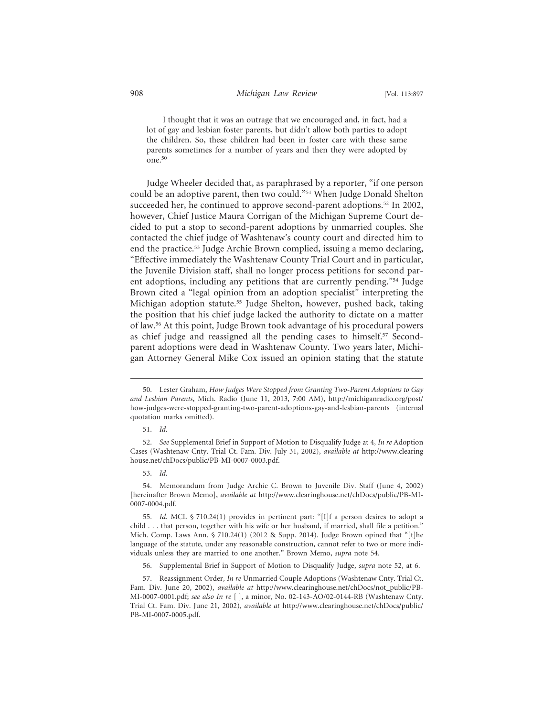I thought that it was an outrage that we encouraged and, in fact, had a lot of gay and lesbian foster parents, but didn't allow both parties to adopt the children. So, these children had been in foster care with these same parents sometimes for a number of years and then they were adopted by one.50

Judge Wheeler decided that, as paraphrased by a reporter, "if one person could be an adoptive parent, then two could."51 When Judge Donald Shelton succeeded her, he continued to approve second-parent adoptions.<sup>52</sup> In 2002, however, Chief Justice Maura Corrigan of the Michigan Supreme Court decided to put a stop to second-parent adoptions by unmarried couples. She contacted the chief judge of Washtenaw's county court and directed him to end the practice.<sup>53</sup> Judge Archie Brown complied, issuing a memo declaring, "Effective immediately the Washtenaw County Trial Court and in particular, the Juvenile Division staff, shall no longer process petitions for second parent adoptions, including any petitions that are currently pending."54 Judge Brown cited a "legal opinion from an adoption specialist" interpreting the Michigan adoption statute.55 Judge Shelton, however, pushed back, taking the position that his chief judge lacked the authority to dictate on a matter of law.56 At this point, Judge Brown took advantage of his procedural powers as chief judge and reassigned all the pending cases to himself.57 Secondparent adoptions were dead in Washtenaw County. Two years later, Michigan Attorney General Mike Cox issued an opinion stating that the statute

<sup>50.</sup> Lester Graham, *How Judges Were Stopped from Granting Two-Parent Adoptions to Gay and Lesbian Parents*, Mich. Radio (June 11, 2013, 7:00 AM), http://michiganradio.org/post/ how-judges-were-stopped-granting-two-parent-adoptions-gay-and-lesbian-parents (internal quotation marks omitted).

<sup>51.</sup> *Id.*

<sup>52.</sup> *See* Supplemental Brief in Support of Motion to Disqualify Judge at 4, *In re* Adoption Cases (Washtenaw Cnty. Trial Ct. Fam. Div. July 31, 2002), *available at* http://www.clearing house.net/chDocs/public/PB-MI-0007-0003.pdf.

<sup>53.</sup> *Id.*

<sup>54.</sup> Memorandum from Judge Archie C. Brown to Juvenile Div. Staff (June 4, 2002) [hereinafter Brown Memo], *available at* http://www.clearinghouse.net/chDocs/public/PB-MI-0007-0004.pdf.

<sup>55.</sup> *Id.* MCL § 710.24(1) provides in pertinent part: "[I]f a person desires to adopt a child . . . that person, together with his wife or her husband, if married, shall file a petition." Mich. Comp. Laws Ann.  $\S 710.24(1)$  (2012 & Supp. 2014). Judge Brown opined that "[t]he language of the statute, under any reasonable construction, cannot refer to two or more individuals unless they are married to one another." Brown Memo, *supra* note 54.

<sup>56.</sup> Supplemental Brief in Support of Motion to Disqualify Judge, *supra* note 52, at 6.

<sup>57.</sup> Reassignment Order, *In re* Unmarried Couple Adoptions (Washtenaw Cnty. Trial Ct. Fam. Div. June 20, 2002), *available at* http://www.clearinghouse.net/chDocs/not\_public/PB-MI-0007-0001.pdf; *see also In re* [ ], a minor, No. 02-143-AO/02-0144-RB (Washtenaw Cnty. Trial Ct. Fam. Div. June 21, 2002), *available at* http://www.clearinghouse.net/chDocs/public/ PB-MI-0007-0005.pdf.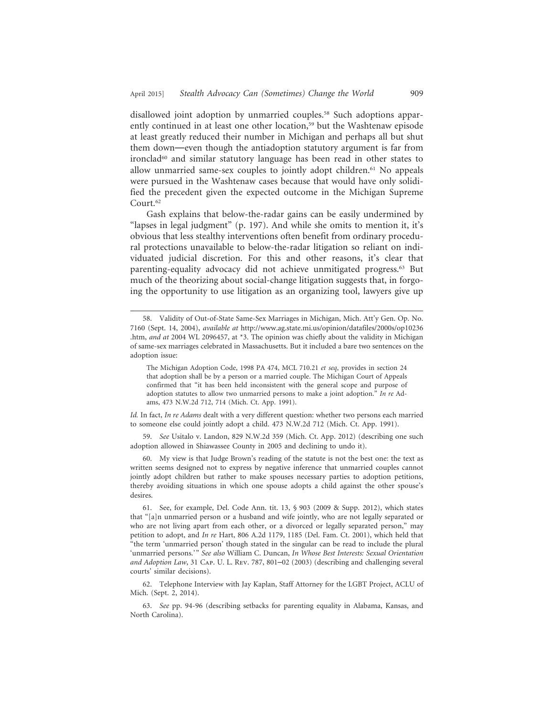disallowed joint adoption by unmarried couples.<sup>58</sup> Such adoptions apparently continued in at least one other location,<sup>59</sup> but the Washtenaw episode at least greatly reduced their number in Michigan and perhaps all but shut them down—even though the antiadoption statutory argument is far from ironclad<sup>60</sup> and similar statutory language has been read in other states to allow unmarried same-sex couples to jointly adopt children.61 No appeals were pursued in the Washtenaw cases because that would have only solidified the precedent given the expected outcome in the Michigan Supreme Court.<sup>62</sup>

Gash explains that below-the-radar gains can be easily undermined by "lapses in legal judgment" (p. 197). And while she omits to mention it, it's obvious that less stealthy interventions often benefit from ordinary procedural protections unavailable to below-the-radar litigation so reliant on individuated judicial discretion. For this and other reasons, it's clear that parenting-equality advocacy did not achieve unmitigated progress.<sup>63</sup> But much of the theorizing about social-change litigation suggests that, in forgoing the opportunity to use litigation as an organizing tool, lawyers give up

The Michigan Adoption Code, 1998 PA 474, MCL 710.21 *et seq*, provides in section 24 that adoption shall be by a person or a married couple. The Michigan Court of Appeals confirmed that "it has been held inconsistent with the general scope and purpose of adoption statutes to allow two unmarried persons to make a joint adoption." *In re* Adams, 473 N.W.2d 712, 714 (Mich. Ct. App. 1991).

*Id.* In fact, *In re Adams* dealt with a very different question: whether two persons each married to someone else could jointly adopt a child. 473 N.W.2d 712 (Mich. Ct. App. 1991).

59. *See* Usitalo v. Landon, 829 N.W.2d 359 (Mich. Ct. App. 2012) (describing one such adoption allowed in Shiawassee County in 2005 and declining to undo it).

60. My view is that Judge Brown's reading of the statute is not the best one: the text as written seems designed not to express by negative inference that unmarried couples cannot jointly adopt children but rather to make spouses necessary parties to adoption petitions, thereby avoiding situations in which one spouse adopts a child against the other spouse's desires.

61. See, for example, Del. Code Ann. tit. 13, § 903 (2009 & Supp. 2012), which states that "[a]n unmarried person or a husband and wife jointly, who are not legally separated or who are not living apart from each other, or a divorced or legally separated person," may petition to adopt, and *In re* Hart, 806 A.2d 1179, 1185 (Del. Fam. Ct. 2001), which held that "the term 'unmarried person' though stated in the singular can be read to include the plural 'unmarried persons.'" *See also* William C. Duncan, *In Whose Best Interests: Sexual Orientation and Adoption Law*, 31 Cap. U. L. Rev. 787, 801–02 (2003) (describing and challenging several courts' similar decisions).

62. Telephone Interview with Jay Kaplan, Staff Attorney for the LGBT Project, ACLU of Mich. (Sept. 2, 2014).

63. *See* pp. 94-96 (describing setbacks for parenting equality in Alabama, Kansas, and North Carolina).

<sup>58.</sup> Validity of Out-of-State Same-Sex Marriages in Michigan, Mich. Att'y Gen. Op. No. 7160 (Sept. 14, 2004), *available at* http://www.ag.state.mi.us/opinion/datafiles/2000s/op10236 .htm, *and at* 2004 WL 2096457, at \*3. The opinion was chiefly about the validity in Michigan of same-sex marriages celebrated in Massachusetts. But it included a bare two sentences on the adoption issue: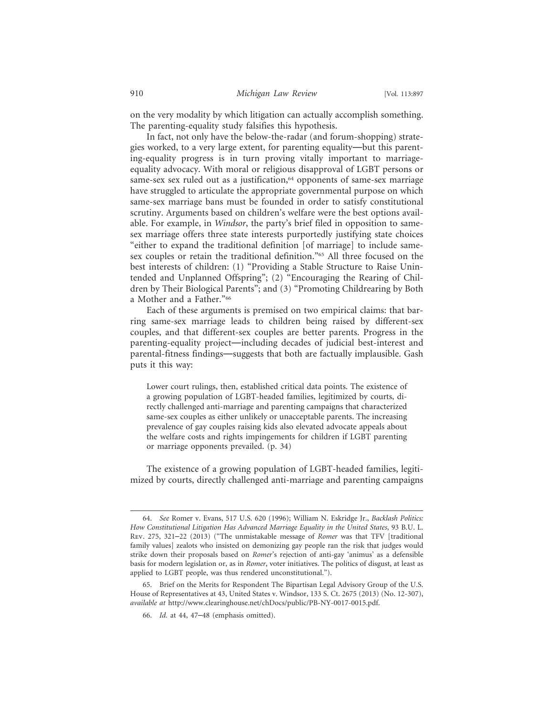on the very modality by which litigation can actually accomplish something. The parenting-equality study falsifies this hypothesis.

In fact, not only have the below-the-radar (and forum-shopping) strategies worked, to a very large extent, for parenting equality—but this parenting-equality progress is in turn proving vitally important to marriageequality advocacy. With moral or religious disapproval of LGBT persons or same-sex sex ruled out as a justification,<sup>64</sup> opponents of same-sex marriage have struggled to articulate the appropriate governmental purpose on which same-sex marriage bans must be founded in order to satisfy constitutional scrutiny. Arguments based on children's welfare were the best options available. For example, in *Windsor*, the party's brief filed in opposition to samesex marriage offers three state interests purportedly justifying state choices "either to expand the traditional definition [of marriage] to include samesex couples or retain the traditional definition."<sup>65</sup> All three focused on the best interests of children: (1) "Providing a Stable Structure to Raise Unintended and Unplanned Offspring"; (2) "Encouraging the Rearing of Children by Their Biological Parents"; and (3) "Promoting Childrearing by Both a Mother and a Father."66

Each of these arguments is premised on two empirical claims: that barring same-sex marriage leads to children being raised by different-sex couples, and that different-sex couples are better parents. Progress in the parenting-equality project—including decades of judicial best-interest and parental-fitness findings—suggests that both are factually implausible. Gash puts it this way:

Lower court rulings, then, established critical data points. The existence of a growing population of LGBT-headed families, legitimized by courts, directly challenged anti-marriage and parenting campaigns that characterized same-sex couples as either unlikely or unacceptable parents. The increasing prevalence of gay couples raising kids also elevated advocate appeals about the welfare costs and rights impingements for children if LGBT parenting or marriage opponents prevailed. (p. 34)

The existence of a growing population of LGBT-headed families, legitimized by courts, directly challenged anti-marriage and parenting campaigns

<sup>64.</sup> *See* Romer v. Evans, 517 U.S. 620 (1996); William N. Eskridge Jr., *Backlash Politics: How Constitutional Litigation Has Advanced Marriage Equality in the United States*, 93 B.U. L. Rev. 275, 321–22 (2013) ("The unmistakable message of *Romer* was that TFV [traditional family values] zealots who insisted on demonizing gay people ran the risk that judges would strike down their proposals based on *Romer*'s rejection of anti-gay 'animus' as a defensible basis for modern legislation or, as in *Romer*, voter initiatives. The politics of disgust, at least as applied to LGBT people, was thus rendered unconstitutional.").

<sup>65.</sup> Brief on the Merits for Respondent The Bipartisan Legal Advisory Group of the U.S. House of Representatives at 43, United States v. Windsor, 133 S. Ct. 2675 (2013) (No. 12-307), *available at* http://www.clearinghouse.net/chDocs/public/PB-NY-0017-0015.pdf.

<sup>66.</sup> *Id.* at 44, 47–48 (emphasis omitted).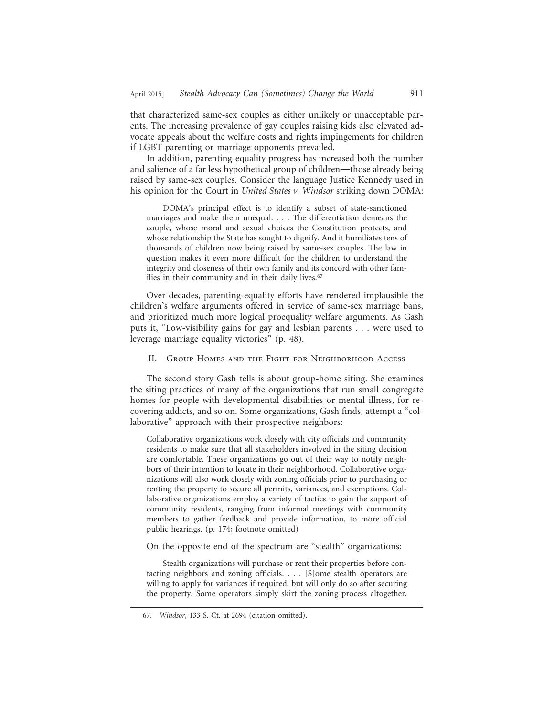that characterized same-sex couples as either unlikely or unacceptable parents. The increasing prevalence of gay couples raising kids also elevated advocate appeals about the welfare costs and rights impingements for children if LGBT parenting or marriage opponents prevailed.

In addition, parenting-equality progress has increased both the number and salience of a far less hypothetical group of children—those already being raised by same-sex couples. Consider the language Justice Kennedy used in his opinion for the Court in *United States v. Windsor* striking down DOMA:

DOMA's principal effect is to identify a subset of state-sanctioned marriages and make them unequal. . . . The differentiation demeans the couple, whose moral and sexual choices the Constitution protects, and whose relationship the State has sought to dignify. And it humiliates tens of thousands of children now being raised by same-sex couples. The law in question makes it even more difficult for the children to understand the integrity and closeness of their own family and its concord with other families in their community and in their daily lives.<sup>67</sup>

Over decades, parenting-equality efforts have rendered implausible the children's welfare arguments offered in service of same-sex marriage bans, and prioritized much more logical proequality welfare arguments. As Gash puts it, "Low-visibility gains for gay and lesbian parents . . . were used to leverage marriage equality victories" (p. 48).

II. Group Homes and the Fight for Neighborhood Access

The second story Gash tells is about group-home siting. She examines the siting practices of many of the organizations that run small congregate homes for people with developmental disabilities or mental illness, for recovering addicts, and so on. Some organizations, Gash finds, attempt a "collaborative" approach with their prospective neighbors:

Collaborative organizations work closely with city officials and community residents to make sure that all stakeholders involved in the siting decision are comfortable. These organizations go out of their way to notify neighbors of their intention to locate in their neighborhood. Collaborative organizations will also work closely with zoning officials prior to purchasing or renting the property to secure all permits, variances, and exemptions. Collaborative organizations employ a variety of tactics to gain the support of community residents, ranging from informal meetings with community members to gather feedback and provide information, to more official public hearings. (p. 174; footnote omitted)

On the opposite end of the spectrum are "stealth" organizations:

Stealth organizations will purchase or rent their properties before contacting neighbors and zoning officials. . . . [S]ome stealth operators are willing to apply for variances if required, but will only do so after securing the property. Some operators simply skirt the zoning process altogether,

<sup>67.</sup> *Windsor*, 133 S. Ct. at 2694 (citation omitted).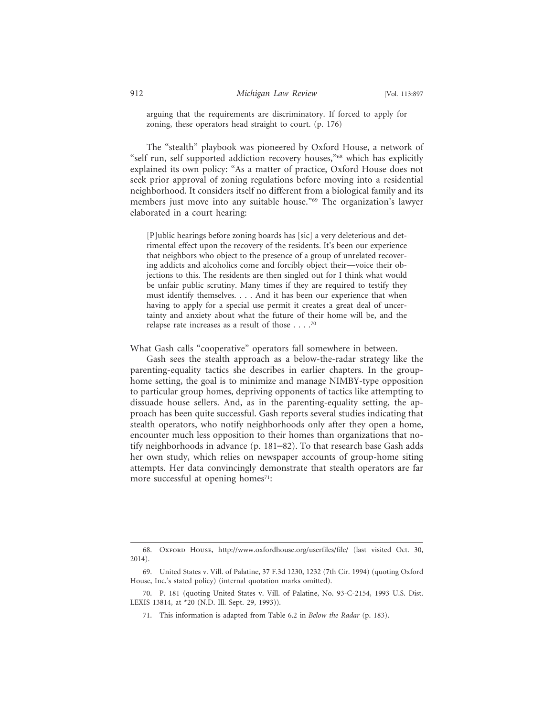arguing that the requirements are discriminatory. If forced to apply for zoning, these operators head straight to court. (p. 176)

The "stealth" playbook was pioneered by Oxford House, a network of "self run, self supported addiction recovery houses,"<sup>68</sup> which has explicitly explained its own policy: "As a matter of practice, Oxford House does not seek prior approval of zoning regulations before moving into a residential neighborhood. It considers itself no different from a biological family and its members just move into any suitable house."69 The organization's lawyer elaborated in a court hearing:

[P]ublic hearings before zoning boards has [sic] a very deleterious and detrimental effect upon the recovery of the residents. It's been our experience that neighbors who object to the presence of a group of unrelated recovering addicts and alcoholics come and forcibly object their—voice their objections to this. The residents are then singled out for I think what would be unfair public scrutiny. Many times if they are required to testify they must identify themselves. . . . And it has been our experience that when having to apply for a special use permit it creates a great deal of uncertainty and anxiety about what the future of their home will be, and the relapse rate increases as a result of those . . . .70

What Gash calls "cooperative" operators fall somewhere in between.

Gash sees the stealth approach as a below-the-radar strategy like the parenting-equality tactics she describes in earlier chapters. In the grouphome setting, the goal is to minimize and manage NIMBY-type opposition to particular group homes, depriving opponents of tactics like attempting to dissuade house sellers. And, as in the parenting-equality setting, the approach has been quite successful. Gash reports several studies indicating that stealth operators, who notify neighborhoods only after they open a home, encounter much less opposition to their homes than organizations that notify neighborhoods in advance (p. 181–82). To that research base Gash adds her own study, which relies on newspaper accounts of group-home siting attempts. Her data convincingly demonstrate that stealth operators are far more successful at opening homes<sup>71</sup>:

<sup>68.</sup> Oxford House, http://www.oxfordhouse.org/userfiles/file/ (last visited Oct. 30, 2014).

<sup>69.</sup> United States v. Vill. of Palatine, 37 F.3d 1230, 1232 (7th Cir. 1994) (quoting Oxford House, Inc.'s stated policy) (internal quotation marks omitted).

<sup>70.</sup> P. 181 (quoting United States v. Vill. of Palatine, No. 93-C-2154, 1993 U.S. Dist. LEXIS 13814, at \*20 (N.D. Ill. Sept. 29, 1993)).

<sup>71.</sup> This information is adapted from Table 6.2 in *Below the Radar* (p. 183).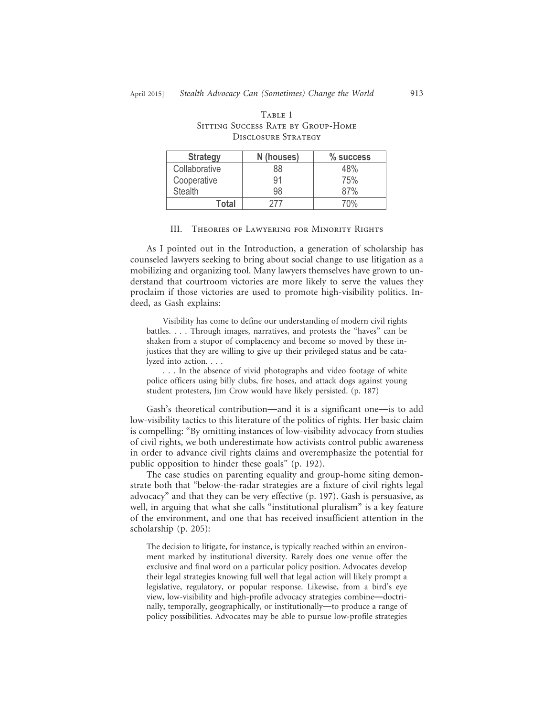| <b>Strategy</b>            | N (houses)                         | % succes |  |  |
|----------------------------|------------------------------------|----------|--|--|
| <b>DISCLOSURE STRATEGY</b> |                                    |          |  |  |
|                            | SITTING SUCCESS RATE BY GROUP-HOME |          |  |  |

# Sitting Success Rate by Group-Home

Table 1

| <b>Strategy</b> | N (houses) | % success       |
|-----------------|------------|-----------------|
| Collaborative   | 88         | 48%             |
| Cooperative     | 91         | 75%             |
| <b>Stealth</b>  | 98         | 87%             |
| Total           | 777        | 70 <sup>%</sup> |
|                 |            |                 |

#### III. Theories of Lawyering for Minority Rights

As I pointed out in the Introduction, a generation of scholarship has counseled lawyers seeking to bring about social change to use litigation as a mobilizing and organizing tool. Many lawyers themselves have grown to understand that courtroom victories are more likely to serve the values they proclaim if those victories are used to promote high-visibility politics. Indeed, as Gash explains:

Visibility has come to define our understanding of modern civil rights battles. . . . Through images, narratives, and protests the "haves" can be shaken from a stupor of complacency and become so moved by these injustices that they are willing to give up their privileged status and be catalyzed into action. . . .

. . . In the absence of vivid photographs and video footage of white police officers using billy clubs, fire hoses, and attack dogs against young student protesters, Jim Crow would have likely persisted. (p. 187)

Gash's theoretical contribution—and it is a significant one—is to add low-visibility tactics to this literature of the politics of rights. Her basic claim is compelling: "By omitting instances of low-visibility advocacy from studies of civil rights, we both underestimate how activists control public awareness in order to advance civil rights claims and overemphasize the potential for public opposition to hinder these goals" (p. 192).

The case studies on parenting equality and group-home siting demonstrate both that "below-the-radar strategies are a fixture of civil rights legal advocacy" and that they can be very effective (p. 197). Gash is persuasive, as well, in arguing that what she calls "institutional pluralism" is a key feature of the environment, and one that has received insufficient attention in the scholarship (p. 205):

The decision to litigate, for instance, is typically reached within an environment marked by institutional diversity. Rarely does one venue offer the exclusive and final word on a particular policy position. Advocates develop their legal strategies knowing full well that legal action will likely prompt a legislative, regulatory, or popular response. Likewise, from a bird's eye view, low-visibility and high-profile advocacy strategies combine—doctrinally, temporally, geographically, or institutionally—to produce a range of policy possibilities. Advocates may be able to pursue low-profile strategies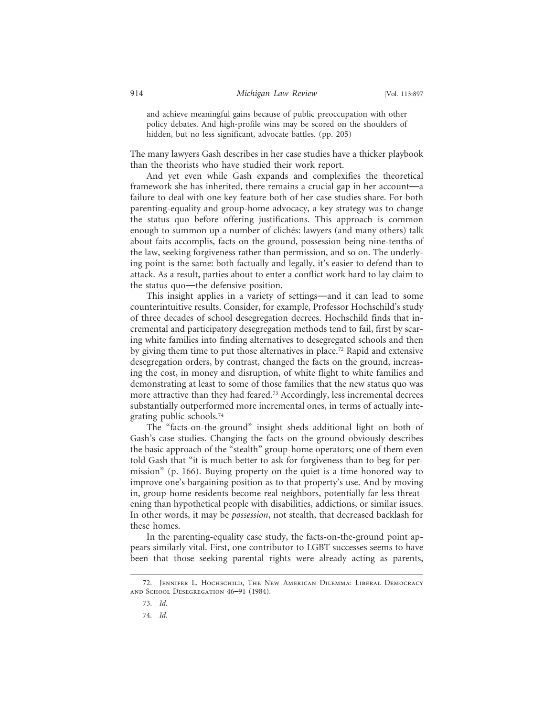and achieve meaningful gains because of public preoccupation with other policy debates. And high-profile wins may be scored on the shoulders of hidden, but no less significant, advocate battles. (pp. 205)

The many lawyers Gash describes in her case studies have a thicker playbook than the theorists who have studied their work report.

And yet even while Gash expands and complexifies the theoretical framework she has inherited, there remains a crucial gap in her account—a failure to deal with one key feature both of her case studies share. For both parenting-equality and group-home advocacy, a key strategy was to change the status quo before offering justifications. This approach is common enough to summon up a number of clichés: lawyers (and many others) talk about faits accomplis, facts on the ground, possession being nine-tenths of the law, seeking forgiveness rather than permission, and so on. The underlying point is the same: both factually and legally, it's easier to defend than to attack. As a result, parties about to enter a conflict work hard to lay claim to the status quo—the defensive position.

This insight applies in a variety of settings—and it can lead to some counterintuitive results. Consider, for example, Professor Hochschild's study of three decades of school desegregation decrees. Hochschild finds that incremental and participatory desegregation methods tend to fail, first by scaring white families into finding alternatives to desegregated schools and then by giving them time to put those alternatives in place.72 Rapid and extensive desegregation orders, by contrast, changed the facts on the ground, increasing the cost, in money and disruption, of white flight to white families and demonstrating at least to some of those families that the new status quo was more attractive than they had feared.<sup>73</sup> Accordingly, less incremental decrees substantially outperformed more incremental ones, in terms of actually integrating public schools.74

The "facts-on-the-ground" insight sheds additional light on both of Gash's case studies. Changing the facts on the ground obviously describes the basic approach of the "stealth" group-home operators; one of them even told Gash that "it is much better to ask for forgiveness than to beg for permission" (p. 166). Buying property on the quiet is a time-honored way to improve one's bargaining position as to that property's use. And by moving in, group-home residents become real neighbors, potentially far less threatening than hypothetical people with disabilities, addictions, or similar issues. In other words, it may be *possession*, not stealth, that decreased backlash for these homes.

In the parenting-equality case study, the facts-on-the-ground point appears similarly vital. First, one contributor to LGBT successes seems to have been that those seeking parental rights were already acting as parents,

<sup>72.</sup> Jennifer L. Hochschild, The New American Dilemma: Liberal Democracy and School Desegregation 46–91 (1984).

<sup>73.</sup> *Id.*

<sup>74.</sup> *Id.*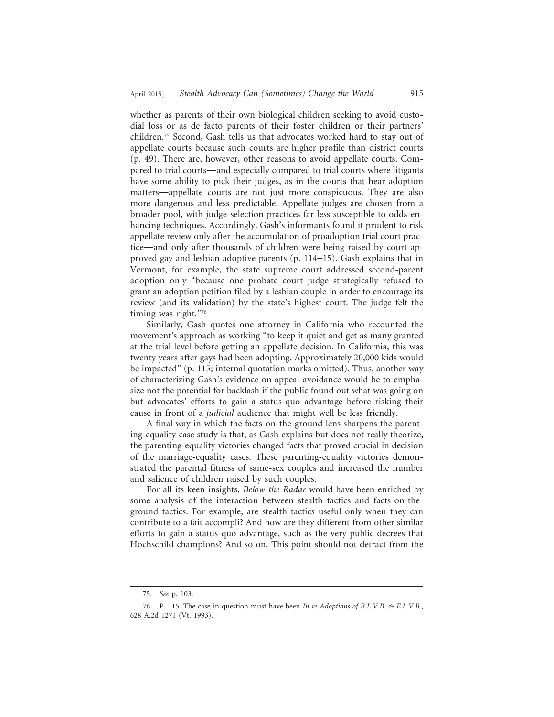whether as parents of their own biological children seeking to avoid custodial loss or as de facto parents of their foster children or their partners' children.75 Second, Gash tells us that advocates worked hard to stay out of appellate courts because such courts are higher profile than district courts (p. 49). There are, however, other reasons to avoid appellate courts. Compared to trial courts—and especially compared to trial courts where litigants have some ability to pick their judges, as in the courts that hear adoption matters—appellate courts are not just more conspicuous. They are also more dangerous and less predictable. Appellate judges are chosen from a broader pool, with judge-selection practices far less susceptible to odds-enhancing techniques. Accordingly, Gash's informants found it prudent to risk appellate review only after the accumulation of proadoption trial court practice—and only after thousands of children were being raised by court-approved gay and lesbian adoptive parents (p. 114–15). Gash explains that in Vermont, for example, the state supreme court addressed second-parent adoption only "because one probate court judge strategically refused to grant an adoption petition filed by a lesbian couple in order to encourage its review (and its validation) by the state's highest court. The judge felt the timing was right."76

Similarly, Gash quotes one attorney in California who recounted the movement's approach as working "to keep it quiet and get as many granted at the trial level before getting an appellate decision. In California, this was twenty years after gays had been adopting. Approximately 20,000 kids would be impacted" (p. 115; internal quotation marks omitted). Thus, another way of characterizing Gash's evidence on appeal-avoidance would be to emphasize not the potential for backlash if the public found out what was going on but advocates' efforts to gain a status-quo advantage before risking their cause in front of a *judicial* audience that might well be less friendly.

A final way in which the facts-on-the-ground lens sharpens the parenting-equality case study is that, as Gash explains but does not really theorize, the parenting-equality victories changed facts that proved crucial in decision of the marriage-equality cases. These parenting-equality victories demonstrated the parental fitness of same-sex couples and increased the number and salience of children raised by such couples.

For all its keen insights, *Below the Radar* would have been enriched by some analysis of the interaction between stealth tactics and facts-on-theground tactics. For example, are stealth tactics useful only when they can contribute to a fait accompli? And how are they different from other similar efforts to gain a status-quo advantage, such as the very public decrees that Hochschild champions? And so on. This point should not detract from the

<sup>75.</sup> *See* p. 103.

<sup>76.</sup> P. 115. The case in question must have been *In re Adoptions of B.L.V.B. & E.L.V.B.*, 628 A.2d 1271 (Vt. 1993).